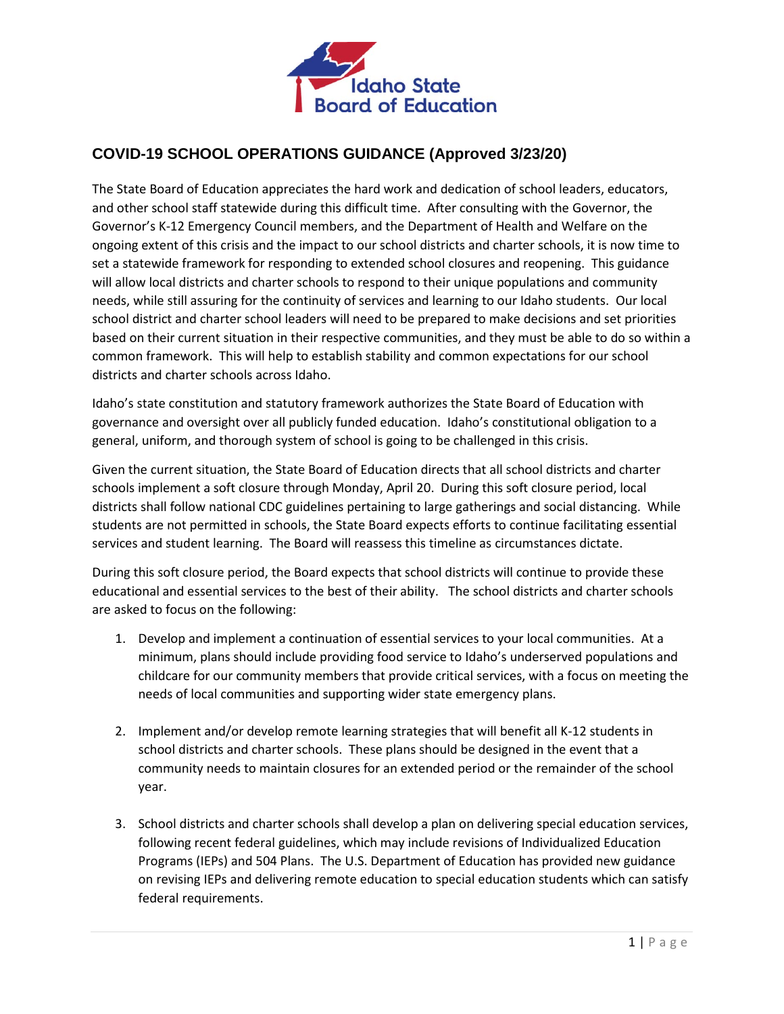

## **COVID-19 SCHOOL OPERATIONS GUIDANCE (Approved 3/23/20)**

The State Board of Education appreciates the hard work and dedication of school leaders, educators, and other school staff statewide during this difficult time. After consulting with the Governor, the Governor's K-12 Emergency Council members, and the Department of Health and Welfare on the ongoing extent of this crisis and the impact to our school districts and charter schools, it is now time to set a statewide framework for responding to extended school closures and reopening. This guidance will allow local districts and charter schools to respond to their unique populations and community needs, while still assuring for the continuity of services and learning to our Idaho students. Our local school district and charter school leaders will need to be prepared to make decisions and set priorities based on their current situation in their respective communities, and they must be able to do so within a common framework. This will help to establish stability and common expectations for our school districts and charter schools across Idaho.

Idaho's state constitution and statutory framework authorizes the State Board of Education with governance and oversight over all publicly funded education. Idaho's constitutional obligation to a general, uniform, and thorough system of school is going to be challenged in this crisis.

Given the current situation, the State Board of Education directs that all school districts and charter schools implement a soft closure through Monday, April 20. During this soft closure period, local districts shall follow national CDC guidelines pertaining to large gatherings and social distancing. While students are not permitted in schools, the State Board expects efforts to continue facilitating essential services and student learning. The Board will reassess this timeline as circumstances dictate.

During this soft closure period, the Board expects that school districts will continue to provide these educational and essential services to the best of their ability. The school districts and charter schools are asked to focus on the following:

- 1. Develop and implement a continuation of essential services to your local communities. At a minimum, plans should include providing food service to Idaho's underserved populations and childcare for our community members that provide critical services, with a focus on meeting the needs of local communities and supporting wider state emergency plans.
- 2. Implement and/or develop remote learning strategies that will benefit all K-12 students in school districts and charter schools. These plans should be designed in the event that a community needs to maintain closures for an extended period or the remainder of the school year.
- 3. School districts and charter schools shall develop a plan on delivering special education services, following recent federal guidelines, which may include revisions of Individualized Education Programs (IEPs) and 504 Plans. The U.S. Department of Education has provided new guidance on revising IEPs and delivering remote education to special education students which can satisfy federal requirements.